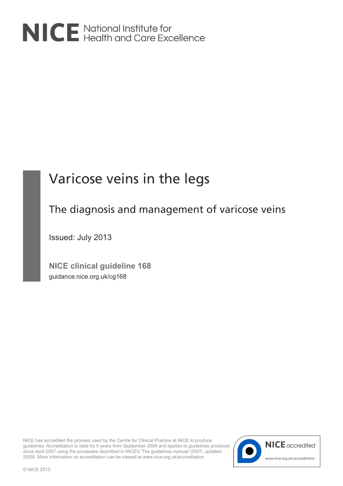

# Varicose veins in the legs

## The diagnosis and management of varicose veins

Issued: July 2013

**NICE clinical guideline 168** guidance.nice.org.uk/cg168

NICE has accredited the process used by the Centre for Clinical Practice at NICE to produce guidelines. Accreditation is valid for 5 years from September 2009 and applies to guidelines produced since April 2007 using the processes described in NICE's 'The guidelines manual' (2007, updated 2009). More information on accreditation can be viewed at www.nice.org.uk/accreditation

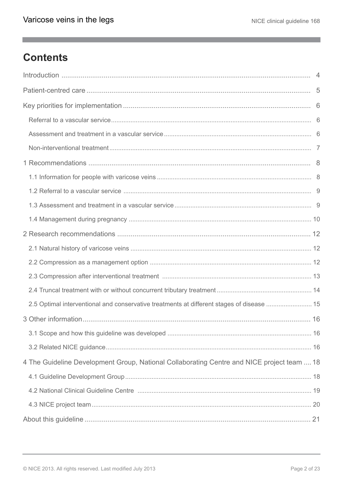a,

## **Contents**

| 2.5 Optimal interventional and conservative treatments at different stages of disease  15  |  |
|--------------------------------------------------------------------------------------------|--|
|                                                                                            |  |
|                                                                                            |  |
|                                                                                            |  |
| 4 The Guideline Development Group, National Collaborating Centre and NICE project team  18 |  |
|                                                                                            |  |
|                                                                                            |  |
|                                                                                            |  |
|                                                                                            |  |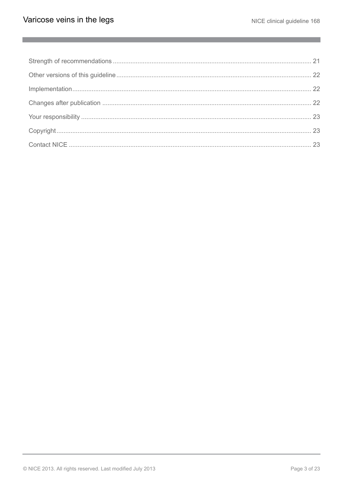$\mathcal{L}^{\mathcal{L}}$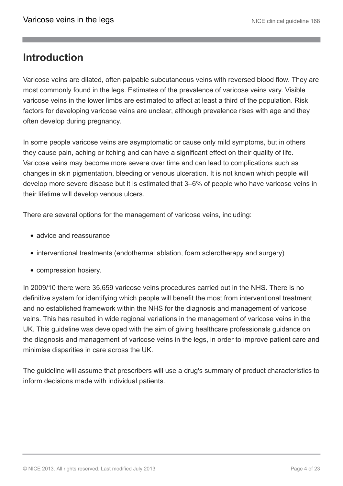### <span id="page-3-0"></span>**Introduction**

Varicose veins are dilated, often palpable subcutaneous veins with reversed blood flow. They are most commonly found in the legs. Estimates of the prevalence of varicose veins vary. Visible varicose veins in the lower limbs are estimated to affect at least a third of the population. Risk factors for developing varicose veins are unclear, although prevalence rises with age and they often develop during pregnancy.

In some people varicose veins are asymptomatic or cause only mild symptoms, but in others they cause pain, aching or itching and can have a significant effect on their quality of life. Varicose veins may become more severe over time and can lead to complications such as changes in skin pigmentation, bleeding or venous ulceration. It is not known which people will develop more severe disease but it is estimated that 3–6% of people who have varicose veins in their lifetime will develop venous ulcers.

There are several options for the management of varicose veins, including:

- advice and reassurance
- interventional treatments (endothermal ablation, foam sclerotherapy and surgery)
- compression hosiery.

In 2009/10 there were 35,659 varicose veins procedures carried out in the NHS. There is no definitive system for identifying which people will benefit the most from interventional treatment and no established framework within the NHS for the diagnosis and management of varicose veins. This has resulted in wide regional variations in the management of varicose veins in the UK. This guideline was developed with the aim of giving healthcare professionals guidance on the diagnosis and management of varicose veins in the legs, in order to improve patient care and minimise disparities in care across the UK.

The guideline will assume that prescribers will use a drug's summary of product characteristics to inform decisions made with individual patients.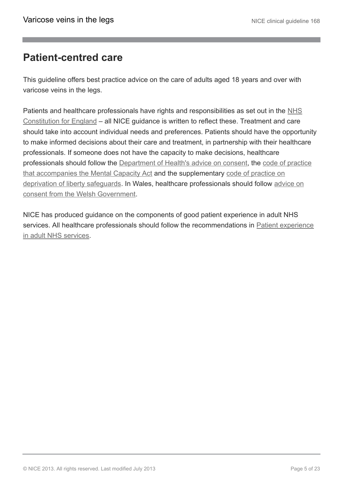### <span id="page-4-0"></span>**Patient-centred care**

This guideline offers best practice advice on the care of adults aged 18 years and over with varicose veins in the legs.

Patients and healthcare professionals have rights and responsibilities as set out in the [NHS](https://www.gov.uk/government/publications/the-nhs-constitution-for-england) [Constitution for England](https://www.gov.uk/government/publications/the-nhs-constitution-for-england) – all NICE guidance is written to reflect these. Treatment and care should take into account individual needs and preferences. Patients should have the opportunity to make informed decisions about their care and treatment, in partnership with their healthcare professionals. If someone does not have the capacity to make decisions, healthcare professionals should follow the [Department of Health's advice on consent](http://www.dh.gov.uk/en/DH_103643), the [code of practice](http://www.justice.gov.uk/protecting-the-vulnerable/mental-capacity-act) [that accompanies the Mental Capacity Act](http://www.justice.gov.uk/protecting-the-vulnerable/mental-capacity-act) and the supplementary [code of practice on](http://webarchive.nationalarchives.gov.uk/20130107105354/http:/www.dh.gov.uk/en/Publicationsandstatistics/Publications/PublicationsPolicyAndGuidance/DH_085476) [deprivation of liberty safeguards](http://webarchive.nationalarchives.gov.uk/20130107105354/http:/www.dh.gov.uk/en/Publicationsandstatistics/Publications/PublicationsPolicyAndGuidance/DH_085476). In Wales, healthcare professionals should follow [advice on](http://www.wales.nhs.uk/consent) [consent from the Welsh Government](http://www.wales.nhs.uk/consent).

NICE has produced guidance on the components of good patient experience in adult NHS services. All healthcare professionals should follow the recommendations in [Patient experience](http://publications.nice.org.uk/patient-experience-in-adult-nhs-services-improving-the-experience-of-care-for-people-using-adult-cg138) [in adult NHS services.](http://publications.nice.org.uk/patient-experience-in-adult-nhs-services-improving-the-experience-of-care-for-people-using-adult-cg138)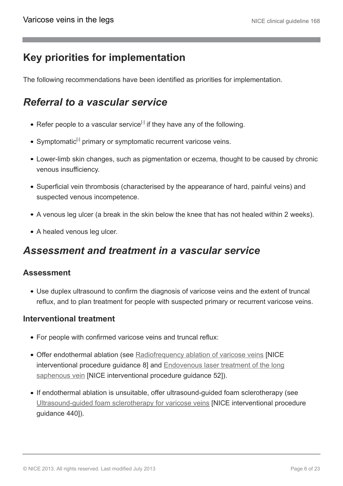## <span id="page-5-0"></span>**Key priorities for implementation**

The following recommendations have been identified as priorities for implementation.

## <span id="page-5-1"></span>*Referral to a vascular service*

- <span id="page-5-3"></span>Refer people to a vascular service $^{[i]}$  if they have any of the following.
- <span id="page-5-4"></span>Symptomatic<sup>[[2](#page-6-2)]</sup> primary or symptomatic recurrent varicose veins.
- Lower-limb skin changes, such as pigmentation or eczema, thought to be caused by chronic venous insufficiency.
- Superficial vein thrombosis (characterised by the appearance of hard, painful veins) and suspected venous incompetence.
- A venous leg ulcer (a break in the skin below the knee that has not healed within 2 weeks).
- A healed venous leg ulcer.

### <span id="page-5-2"></span>*Assessment and treatment in a vascular service*

### **Assessment**

Use duplex ultrasound to confirm the diagnosis of varicose veins and the extent of truncal reflux, and to plan treatment for people with suspected primary or recurrent varicose veins.

### **Interventional treatment**

- For people with confirmed varicose veins and truncal reflux:
- Offer endothermal ablation (see [Radiofrequency ablation of varicose veins](http://guidance.nice.org.uk/IPG8) [NICE interventional procedure guidance 8] and [Endovenous laser treatment of the long](http://guidance.nice.org.uk/IPG52) [saphenous vein](http://guidance.nice.org.uk/IPG52) [NICE interventional procedure guidance 52]).
- If endothermal ablation is unsuitable, offer ultrasound-guided foam sclerotherapy (see [Ultrasound-guided foam sclerotherapy for varicose veins](http://guidance.nice.org.uk/IPG440) [NICE interventional procedure guidance 440]).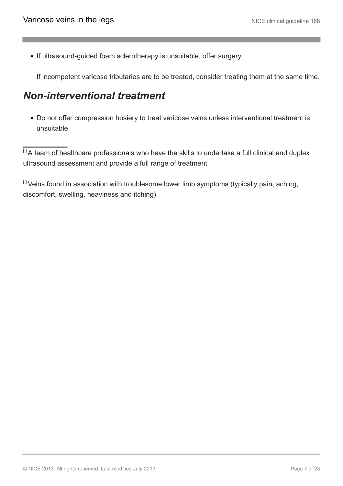• If ultrasound-guided foam sclerotherapy is unsuitable, offer surgery.

If incompetent varicose tributaries are to be treated, consider treating them at the same time.

### <span id="page-6-0"></span>*Non-interventional treatment*

Do not offer compression hosiery to treat varicose veins unless interventional treatment is unsuitable.

<span id="page-6-1"></span> $\overline{11}A$  $\overline{11}A$  $\overline{11}A$  team of healthcare professionals who have the skills to undertake a full clinical and duplex ultrasound assessment and provide a full range of treatment.

<span id="page-6-2"></span> $[2]$  $[2]$  $[2]$  Veins found in association with troublesome lower limb symptoms (typically pain, aching, discomfort, swelling, heaviness and itching).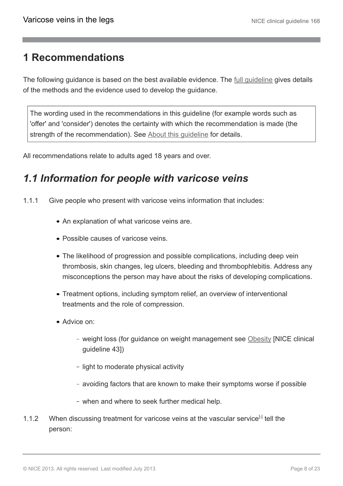### <span id="page-7-0"></span>**1 Recommendations**

The following guidance is based on the best available evidence. The [full guideline](http://guidance.nice.org.uk/CG168/Guidance) gives details of the methods and the evidence used to develop the guidance.

The wording used in the recommendations in this guideline (for example words such as 'offer' and 'consider') denotes the certainty with which the recommendation is made (the strength of the recommendation). See [About this guideline](http://publications.nice.org.uk/varicose-veins-in-the-legs-cg168/about-this-guideline) for details.

All recommendations relate to adults aged 18 years and over.

### <span id="page-7-1"></span>*1.1 Information for people with varicose veins*

- 1.1.1 Give people who present with varicose veins information that includes:
	- An explanation of what varicose veins are.
	- Possible causes of varicose veins.
	- The likelihood of progression and possible complications, including deep vein thrombosis, skin changes, leg ulcers, bleeding and thrombophlebitis. Address any misconceptions the person may have about the risks of developing complications.
	- Treatment options, including symptom relief, an overview of interventional treatments and the role of compression.
	- Advice on:
		- weight loss (for guidance on weight management see [Obesity](http://guidance.nice.org.uk/CG43) [NICE clinical guideline 43])
		- light to moderate physical activity
		- avoiding factors that are known to make their symptoms worse if possible
		- when and where to seek further medical help.
- <span id="page-7-2"></span>1.1.2 When discussing treatment for varicose veins at the vascular service<sup>[[3](#page-10-0)]</sup> tell the person: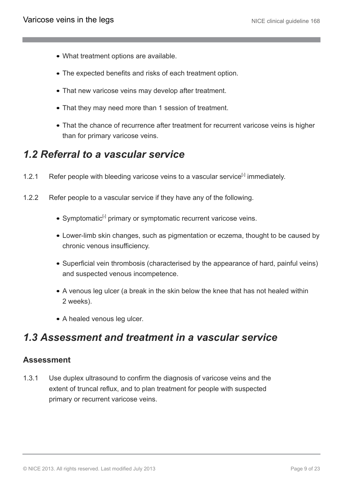- What treatment options are available.
- The expected benefits and risks of each treatment option.
- That new varicose veins may develop after treatment.
- That they may need more than 1 session of treatment.
- That the chance of recurrence after treatment for recurrent varicose veins is higher than for primary varicose veins.

### <span id="page-8-0"></span>*1.2 Referral to a vascular service*

- 1.2.1 Refer people with bleeding varicose veins to a vascular service<sup>[[3](#page-10-0)]</sup> immediately.
- <span id="page-8-2"></span>1.2.2 Refer people to a vascular service if they have any of the following.
	- Symptomatic<sup>[[4](#page-10-1)]</sup> primary or symptomatic recurrent varicose veins.
	- Lower-limb skin changes, such as pigmentation or eczema, thought to be caused by chronic venous insufficiency.
	- Superficial vein thrombosis (characterised by the appearance of hard, painful veins) and suspected venous incompetence.
	- A venous leg ulcer (a break in the skin below the knee that has not healed within 2 weeks).
	- A healed venous leg ulcer.

### <span id="page-8-1"></span>*1.3 Assessment and treatment in a vascular service*

### **Assessment**

1.3.1 Use duplex ultrasound to confirm the diagnosis of varicose veins and the extent of truncal reflux, and to plan treatment for people with suspected primary or recurrent varicose veins.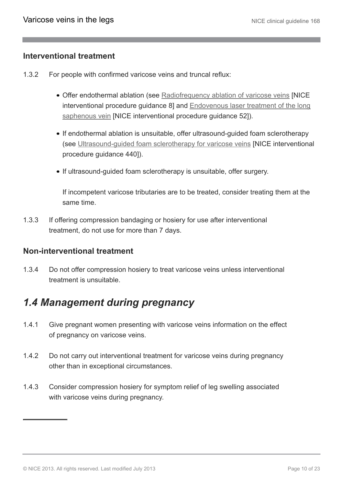### **Interventional treatment**

- 1.3.2 For people with confirmed varicose veins and truncal reflux:
	- Offer endothermal ablation (see [Radiofrequency ablation of varicose veins](http://guidance.nice.org.uk/IPG8) [NICE interventional procedure guidance 8] and [Endovenous laser treatment of the long](http://guidance.nice.org.uk/IPG52) [saphenous vein](http://guidance.nice.org.uk/IPG52) [NICE interventional procedure guidance 52]).
	- If endothermal ablation is unsuitable, offer ultrasound-guided foam sclerotherapy (see [Ultrasound-guided foam sclerotherapy for varicose veins](http://guidance.nice.org.uk/IPG440) [NICE interventional procedure guidance 440]).
	- If ultrasound-guided foam sclerotherapy is unsuitable, offer surgery.

If incompetent varicose tributaries are to be treated, consider treating them at the same time.

1.3.3 If offering compression bandaging or hosiery for use after interventional treatment, do not use for more than 7 days.

### **Non-interventional treatment**

1.3.4 Do not offer compression hosiery to treat varicose veins unless interventional treatment is unsuitable.

### <span id="page-9-0"></span>*1.4 Management during pregnancy*

- 1.4.1 Give pregnant women presenting with varicose veins information on the effect of pregnancy on varicose veins.
- 1.4.2 Do not carry out interventional treatment for varicose veins during pregnancy other than in exceptional circumstances.
- 1.4.3 Consider compression hosiery for symptom relief of leg swelling associated with varicose veins during pregnancy.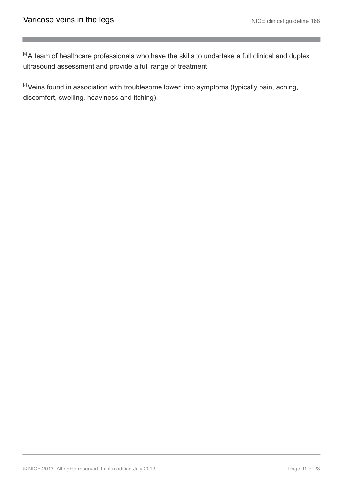<span id="page-10-0"></span>[[3](#page-7-2)] A team of healthcare professionals who have the skills to undertake a full clinical and duplex ultrasound assessment and provide a full range of treatment

<span id="page-10-1"></span>[[4](#page-8-2)] Veins found in association with troublesome lower limb symptoms (typically pain, aching, discomfort, swelling, heaviness and itching).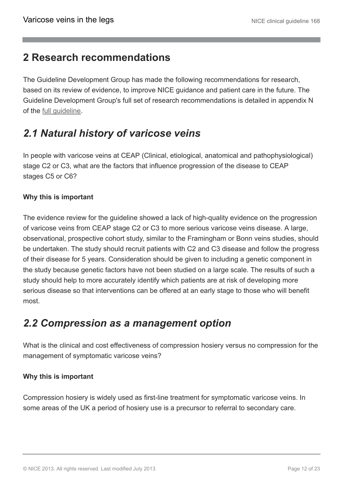### <span id="page-11-0"></span>**2 Research recommendations**

The Guideline Development Group has made the following recommendations for research, based on its review of evidence, to improve NICE guidance and patient care in the future. The Guideline Development Group's full set of research recommendations is detailed in appendix N of the [full guideline](http://guidance.nice.org.uk/CG168/Guidance).

## <span id="page-11-1"></span>*2.1 Natural history of varicose veins*

In people with varicose veins at CEAP (Clinical, etiological, anatomical and pathophysiological) stage C2 or C3, what are the factors that influence progression of the disease to CEAP stages C5 or C6?

### **Why this is important**

The evidence review for the guideline showed a lack of high-quality evidence on the progression of varicose veins from CEAP stage C2 or C3 to more serious varicose veins disease. A large, observational, prospective cohort study, similar to the Framingham or Bonn veins studies, should be undertaken. The study should recruit patients with C2 and C3 disease and follow the progress of their disease for 5 years. Consideration should be given to including a genetic component in the study because genetic factors have not been studied on a large scale. The results of such a study should help to more accurately identify which patients are at risk of developing more serious disease so that interventions can be offered at an early stage to those who will benefit most.

### <span id="page-11-2"></span>*2.2 Compression as a management option*

What is the clinical and cost effectiveness of compression hosiery versus no compression for the management of symptomatic varicose veins?

### **Why this is important**

Compression hosiery is widely used as first-line treatment for symptomatic varicose veins. In some areas of the UK a period of hosiery use is a precursor to referral to secondary care.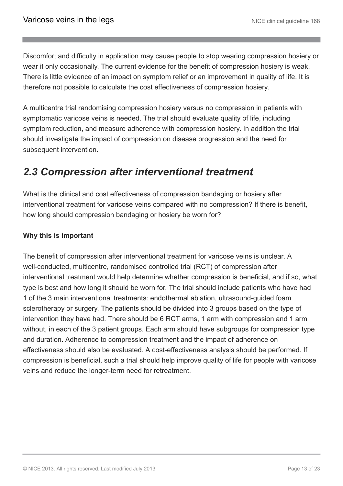Discomfort and difficulty in application may cause people to stop wearing compression hosiery or wear it only occasionally. The current evidence for the benefit of compression hosiery is weak. There is little evidence of an impact on symptom relief or an improvement in quality of life. It is therefore not possible to calculate the cost effectiveness of compression hosiery.

A multicentre trial randomising compression hosiery versus no compression in patients with symptomatic varicose veins is needed. The trial should evaluate quality of life, including symptom reduction, and measure adherence with compression hosiery. In addition the trial should investigate the impact of compression on disease progression and the need for subsequent intervention.

### <span id="page-12-0"></span>*2.3 Compression after interventional treatment*

What is the clinical and cost effectiveness of compression bandaging or hosiery after interventional treatment for varicose veins compared with no compression? If there is benefit, how long should compression bandaging or hosiery be worn for?

### **Why this is important**

The benefit of compression after interventional treatment for varicose veins is unclear. A well-conducted, multicentre, randomised controlled trial (RCT) of compression after interventional treatment would help determine whether compression is beneficial, and if so, what type is best and how long it should be worn for. The trial should include patients who have had 1 of the 3 main interventional treatments: endothermal ablation, ultrasound-guided foam sclerotherapy or surgery. The patients should be divided into 3 groups based on the type of intervention they have had. There should be 6 RCT arms, 1 arm with compression and 1 arm without, in each of the 3 patient groups. Each arm should have subgroups for compression type and duration. Adherence to compression treatment and the impact of adherence on effectiveness should also be evaluated. A cost-effectiveness analysis should be performed. If compression is beneficial, such a trial should help improve quality of life for people with varicose veins and reduce the longer-term need for retreatment.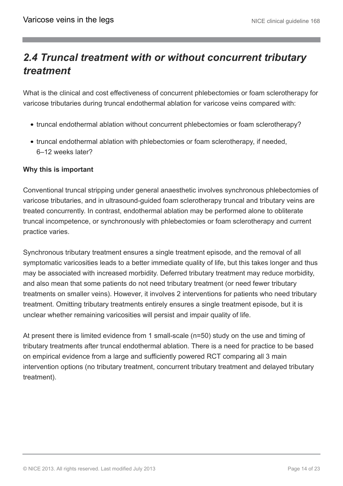## <span id="page-13-0"></span>*2.4 Truncal treatment with or without concurrent tributary treatment*

What is the clinical and cost effectiveness of concurrent phlebectomies or foam sclerotherapy for varicose tributaries during truncal endothermal ablation for varicose veins compared with:

- truncal endothermal ablation without concurrent phlebectomies or foam sclerotherapy?
- truncal endothermal ablation with phlebectomies or foam sclerotherapy, if needed, 6–12 weeks later?

### **Why this is important**

Conventional truncal stripping under general anaesthetic involves synchronous phlebectomies of varicose tributaries, and in ultrasound-guided foam sclerotherapy truncal and tributary veins are treated concurrently. In contrast, endothermal ablation may be performed alone to obliterate truncal incompetence, or synchronously with phlebectomies or foam sclerotherapy and current practice varies.

Synchronous tributary treatment ensures a single treatment episode, and the removal of all symptomatic varicosities leads to a better immediate quality of life, but this takes longer and thus may be associated with increased morbidity. Deferred tributary treatment may reduce morbidity, and also mean that some patients do not need tributary treatment (or need fewer tributary treatments on smaller veins). However, it involves 2 interventions for patients who need tributary treatment. Omitting tributary treatments entirely ensures a single treatment episode, but it is unclear whether remaining varicosities will persist and impair quality of life.

At present there is limited evidence from 1 small-scale (n=50) study on the use and timing of tributary treatments after truncal endothermal ablation. There is a need for practice to be based on empirical evidence from a large and sufficiently powered RCT comparing all 3 main intervention options (no tributary treatment, concurrent tributary treatment and delayed tributary treatment).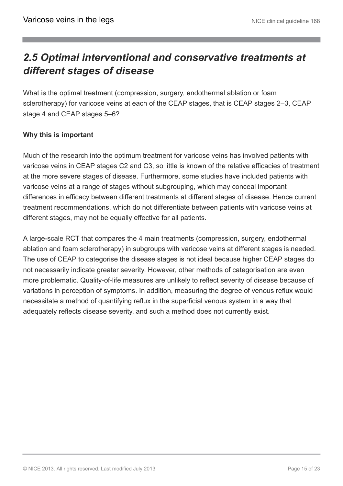## <span id="page-14-0"></span>*2.5 Optimal interventional and conservative treatments at different stages of disease*

What is the optimal treatment (compression, surgery, endothermal ablation or foam sclerotherapy) for varicose veins at each of the CEAP stages, that is CEAP stages 2–3, CEAP stage 4 and CEAP stages 5–6?

### **Why this is important**

Much of the research into the optimum treatment for varicose veins has involved patients with varicose veins in CEAP stages C2 and C3, so little is known of the relative efficacies of treatment at the more severe stages of disease. Furthermore, some studies have included patients with varicose veins at a range of stages without subgrouping, which may conceal important differences in efficacy between different treatments at different stages of disease. Hence current treatment recommendations, which do not differentiate between patients with varicose veins at different stages, may not be equally effective for all patients.

A large-scale RCT that compares the 4 main treatments (compression, surgery, endothermal ablation and foam sclerotherapy) in subgroups with varicose veins at different stages is needed. The use of CEAP to categorise the disease stages is not ideal because higher CEAP stages do not necessarily indicate greater severity. However, other methods of categorisation are even more problematic. Quality-of-life measures are unlikely to reflect severity of disease because of variations in perception of symptoms. In addition, measuring the degree of venous reflux would necessitate a method of quantifying reflux in the superficial venous system in a way that adequately reflects disease severity, and such a method does not currently exist.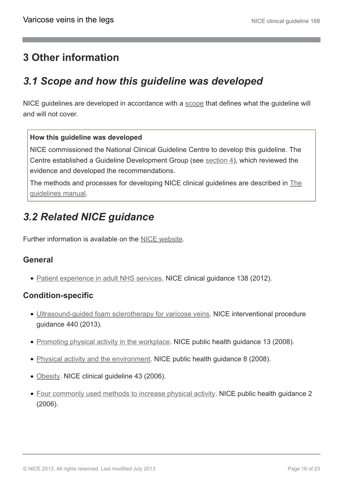## <span id="page-15-0"></span>**3 Other information**

## <span id="page-15-1"></span>*3.1 Scope and how this guideline was developed*

NICE guidelines are developed in accordance with a [scope](http://guidance.nice.org.uk/CG/Wave24/11/ScopeConsultation/Scope/pdf/English) that defines what the guideline will and will not cover.

#### **How this guideline was developed**

NICE commissioned the National Clinical Guideline Centre to develop this guideline. The Centre established a Guideline Development Group (see [section 4\)](http://publications.nice.org.uk/varicose-veins-in-the-legs-cg168/the-guideline-development-group-national-collaborating-centre-and-nice-project-team), which reviewed the evidence and developed the recommendations.

The methods and processes for developing NICE clinical guidelines are described in [The](http://www.nice.org.uk/aboutnice/howwework/developingniceclinicalguidelines/clinicalguidelinedevelopmentmethods/clinical_guideline_development_methods.jsp) [guidelines manual.](http://www.nice.org.uk/aboutnice/howwework/developingniceclinicalguidelines/clinicalguidelinedevelopmentmethods/clinical_guideline_development_methods.jsp)

## <span id="page-15-2"></span>*3.2 Related NICE guidance*

Further information is available on the [NICE website.](http://www.nice.org.uk/)

### **General**

• [Patient experience in adult NHS services.](http://www.nice.org.uk/cg138) NICE clinical guidance 138 (2012).

### **Condition-specific**

- Ultrasound-quided foam sclerotherapy for varicose veins. NICE interventional procedure guidance 440 (2013).
- [Promoting physical activity in the workplace.](http://guidance.nice.org.uk/PH13) NICE public health guidance 13 (2008).
- [Physical activity and the environment.](http://guidance.nice.org.uk/PH8) NICE public health guidance 8 (2008).
- [Obesity](http://www.nice.org.uk/guidance/CG43). NICE clinical guideline 43 (2006).
- [Four commonly used methods to increase physical activity](http://www.nice.org.uk/guidance/PH2). NICE public health guidance 2 (2006).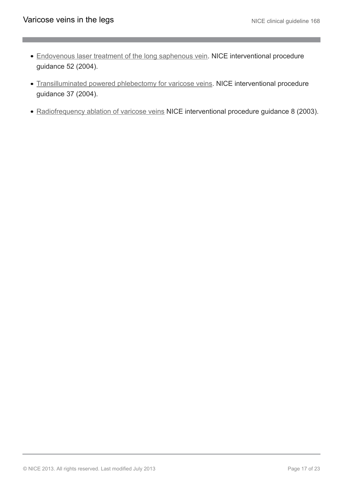- [Endovenous laser treatment of the long saphenous vein](http://guidance.nice.org.uk/IPG52). NICE interventional procedure guidance 52 (2004).
- [Transilluminated powered phlebectomy for varicose veins](http://guidance.nice.org.uk/IPG37). NICE interventional procedure guidance 37 (2004).
- [Radiofrequency ablation of varicose veins](http://guidance.nice.org.uk/IPG8) NICE interventional procedure guidance 8 (2003).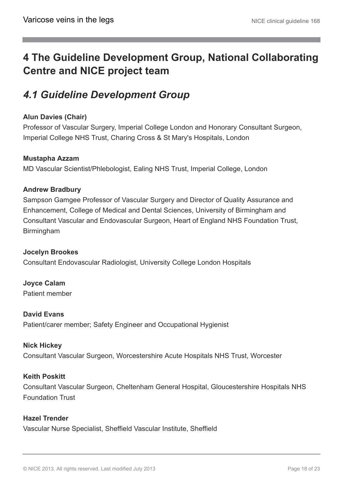## <span id="page-17-0"></span>**4 The Guideline Development Group, National Collaborating Centre and NICE project team**

## <span id="page-17-1"></span>*4.1 Guideline Development Group*

### **Alun Davies (Chair)**

Professor of Vascular Surgery, Imperial College London and Honorary Consultant Surgeon, Imperial College NHS Trust, Charing Cross & St Mary's Hospitals, London

#### **Mustapha Azzam**

MD Vascular Scientist/Phlebologist, Ealing NHS Trust, Imperial College, London

### **Andrew Bradbury**

Sampson Gamgee Professor of Vascular Surgery and Director of Quality Assurance and Enhancement, College of Medical and Dental Sciences, University of Birmingham and Consultant Vascular and Endovascular Surgeon, Heart of England NHS Foundation Trust, Birmingham

#### **Jocelyn Brookes**

Consultant Endovascular Radiologist, University College London Hospitals

**Joyce Calam** Patient member

**David Evans** Patient/carer member; Safety Engineer and Occupational Hygienist

#### **Nick Hickey**

Consultant Vascular Surgeon, Worcestershire Acute Hospitals NHS Trust, Worcester

#### **Keith Poskitt**

Consultant Vascular Surgeon, Cheltenham General Hospital, Gloucestershire Hospitals NHS Foundation Trust

#### **Hazel Trender**

Vascular Nurse Specialist, Sheffield Vascular Institute, Sheffield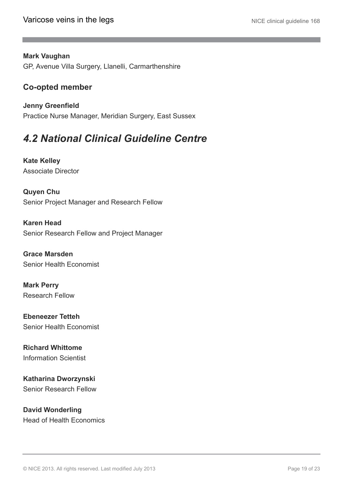#### **Mark Vaughan**

GP, Avenue Villa Surgery, Llanelli, Carmarthenshire

### **Co-opted member**

**Jenny Greenfield** Practice Nurse Manager, Meridian Surgery, East Sussex

## <span id="page-18-0"></span>*4.2 National Clinical Guideline Centre*

**Kate Kelley** Associate Director

**Quyen Chu** Senior Project Manager and Research Fellow

**Karen Head** Senior Research Fellow and Project Manager

**Grace Marsden** Senior Health Economist

**Mark Perry** Research Fellow

**Ebeneezer Tetteh** Senior Health Economist

**Richard Whittome** Information Scientist

**Katharina Dworzynski** Senior Research Fellow

**David Wonderling** Head of Health Economics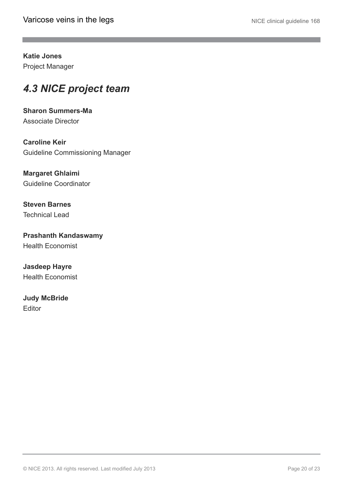**Katie Jones** Project Manager

## <span id="page-19-0"></span>*4.3 NICE project team*

**Sharon Summers-Ma** Associate Director

**Caroline Keir** Guideline Commissioning Manager

**Margaret Ghlaimi** Guideline Coordinator

**Steven Barnes** Technical Lead

**Prashanth Kandaswamy** Health Economist

**Jasdeep Hayre** Health Economist

**Judy McBride** Editor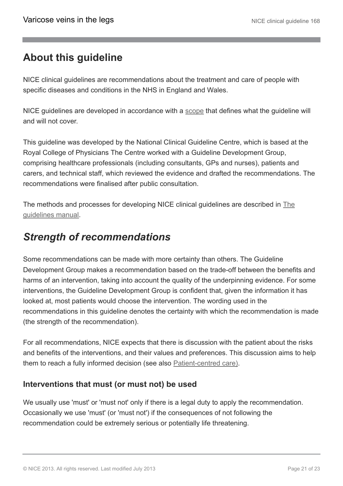## <span id="page-20-0"></span>**About this guideline**

NICE clinical guidelines are recommendations about the treatment and care of people with specific diseases and conditions in the NHS in England and Wales.

NICE guidelines are developed in accordance with a [scope](http://guidance.nice.org.uk/CG/Wave24/11/ScopeConsultation/Scope/pdf/English) that defines what the guideline will and will not cover.

This guideline was developed by the National Clinical Guideline Centre, which is based at the Royal College of Physicians The Centre worked with a Guideline Development Group, comprising healthcare professionals (including consultants, GPs and nurses), patients and carers, and technical staff, which reviewed the evidence and drafted the recommendations. The recommendations were finalised after public consultation.

The methods and processes for developing NICE clinical guidelines are described in [The](http://www.nice.org.uk/aboutnice/howwework/developingniceclinicalguidelines/clinicalguidelinedevelopmentmethods/clinical_guideline_development_methods.jsp) [guidelines manual.](http://www.nice.org.uk/aboutnice/howwework/developingniceclinicalguidelines/clinicalguidelinedevelopmentmethods/clinical_guideline_development_methods.jsp)

### <span id="page-20-1"></span>*Strength of recommendations*

Some recommendations can be made with more certainty than others. The Guideline Development Group makes a recommendation based on the trade-off between the benefits and harms of an intervention, taking into account the quality of the underpinning evidence. For some interventions, the Guideline Development Group is confident that, given the information it has looked at, most patients would choose the intervention. The wording used in the recommendations in this guideline denotes the certainty with which the recommendation is made (the strength of the recommendation).

For all recommendations, NICE expects that there is discussion with the patient about the risks and benefits of the interventions, and their values and preferences. This discussion aims to help them to reach a fully informed decision (see also [Patient-centred care\).](http://publications.nice.org.uk/varicose-veins-in-the-legs-cg168/patient-centred-care)

### **Interventions that must (or must not) be used**

We usually use 'must' or 'must not' only if there is a legal duty to apply the recommendation. Occasionally we use 'must' (or 'must not') if the consequences of not following the recommendation could be extremely serious or potentially life threatening.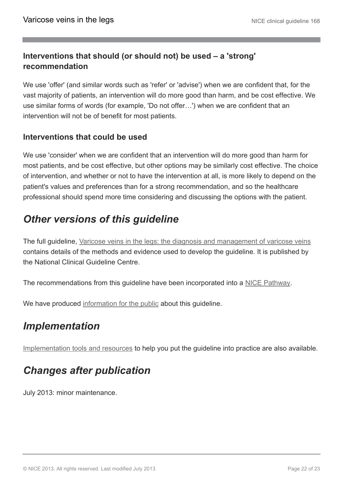### **Interventions that should (or should not) be used – a 'strong' recommendation**

We use 'offer' (and similar words such as 'refer' or 'advise') when we are confident that, for the vast majority of patients, an intervention will do more good than harm, and be cost effective. We use similar forms of words (for example, 'Do not offer…') when we are confident that an intervention will not be of benefit for most patients.

### **Interventions that could be used**

We use 'consider' when we are confident that an intervention will do more good than harm for most patients, and be cost effective, but other options may be similarly cost effective. The choice of intervention, and whether or not to have the intervention at all, is more likely to depend on the patient's values and preferences than for a strong recommendation, and so the healthcare professional should spend more time considering and discussing the options with the patient.

## <span id="page-21-0"></span>*Other versions of this guideline*

The full guideline, [Varicose veins in the legs: the diagnosis and management of varicose veins](http://guidance.nice.org.uk/CG168/guidance) contains details of the methods and evidence used to develop the guideline. It is published by the National Clinical Guideline Centre.

The recommendations from this guideline have been incorporated into a [NICE Pathway.](http://pathways.nice.org.uk/pathways/varicose-veins-in-the-legs)

We have produced [information for the public](http://publications.nice.org.uk/ifp168) about this guideline.

## <span id="page-21-1"></span>*Implementation*

[Implementation tools and resources](http://guidance.nice.org.uk/CG168) to help you put the guideline into practice are also available.

## <span id="page-21-2"></span>*Changes after publication*

July 2013: minor maintenance.